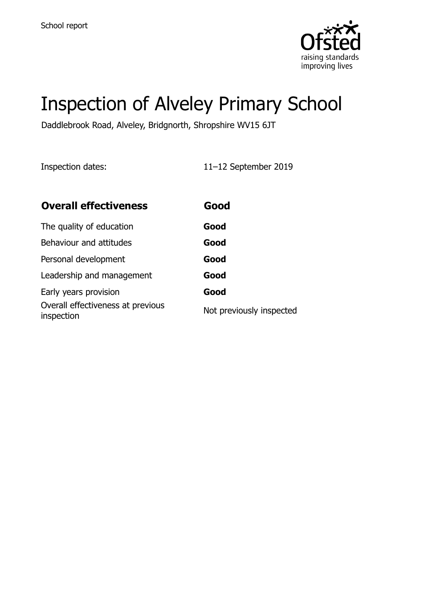

# Inspection of Alveley Primary School

Daddlebrook Road, Alveley, Bridgnorth, Shropshire WV15 6JT

Inspection dates: 11–12 September 2019

| <b>Overall effectiveness</b>                    | Good                     |
|-------------------------------------------------|--------------------------|
| The quality of education                        | Good                     |
| Behaviour and attitudes                         | Good                     |
| Personal development                            | Good                     |
| Leadership and management                       | Good                     |
| Early years provision                           | Good                     |
| Overall effectiveness at previous<br>inspection | Not previously inspected |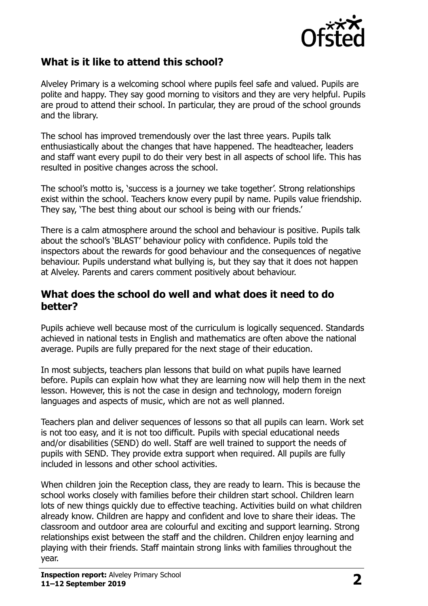

# **What is it like to attend this school?**

Alveley Primary is a welcoming school where pupils feel safe and valued. Pupils are polite and happy. They say good morning to visitors and they are very helpful. Pupils are proud to attend their school. In particular, they are proud of the school grounds and the library.

The school has improved tremendously over the last three years. Pupils talk enthusiastically about the changes that have happened. The headteacher, leaders and staff want every pupil to do their very best in all aspects of school life. This has resulted in positive changes across the school.

The school's motto is, 'success is a journey we take together'. Strong relationships exist within the school. Teachers know every pupil by name. Pupils value friendship. They say, 'The best thing about our school is being with our friends.'

There is a calm atmosphere around the school and behaviour is positive. Pupils talk about the school's 'BLAST' behaviour policy with confidence. Pupils told the inspectors about the rewards for good behaviour and the consequences of negative behaviour. Pupils understand what bullying is, but they say that it does not happen at Alveley. Parents and carers comment positively about behaviour.

#### **What does the school do well and what does it need to do better?**

Pupils achieve well because most of the curriculum is logically sequenced. Standards achieved in national tests in English and mathematics are often above the national average. Pupils are fully prepared for the next stage of their education.

In most subjects, teachers plan lessons that build on what pupils have learned before. Pupils can explain how what they are learning now will help them in the next lesson. However, this is not the case in design and technology, modern foreign languages and aspects of music, which are not as well planned.

Teachers plan and deliver sequences of lessons so that all pupils can learn. Work set is not too easy, and it is not too difficult. Pupils with special educational needs and/or disabilities (SEND) do well. Staff are well trained to support the needs of pupils with SEND. They provide extra support when required. All pupils are fully included in lessons and other school activities.

When children join the Reception class, they are ready to learn. This is because the school works closely with families before their children start school. Children learn lots of new things quickly due to effective teaching. Activities build on what children already know. Children are happy and confident and love to share their ideas. The classroom and outdoor area are colourful and exciting and support learning. Strong relationships exist between the staff and the children. Children enjoy learning and playing with their friends. Staff maintain strong links with families throughout the year.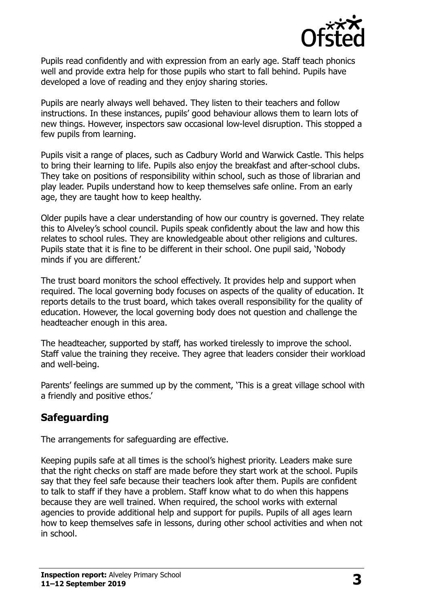

Pupils read confidently and with expression from an early age. Staff teach phonics well and provide extra help for those pupils who start to fall behind. Pupils have developed a love of reading and they enjoy sharing stories.

Pupils are nearly always well behaved. They listen to their teachers and follow instructions. In these instances, pupils' good behaviour allows them to learn lots of new things. However, inspectors saw occasional low-level disruption. This stopped a few pupils from learning.

Pupils visit a range of places, such as Cadbury World and Warwick Castle. This helps to bring their learning to life. Pupils also enjoy the breakfast and after-school clubs. They take on positions of responsibility within school, such as those of librarian and play leader. Pupils understand how to keep themselves safe online. From an early age, they are taught how to keep healthy.

Older pupils have a clear understanding of how our country is governed. They relate this to Alveley's school council. Pupils speak confidently about the law and how this relates to school rules. They are knowledgeable about other religions and cultures. Pupils state that it is fine to be different in their school. One pupil said, 'Nobody minds if you are different.'

The trust board monitors the school effectively. It provides help and support when required. The local governing body focuses on aspects of the quality of education. It reports details to the trust board, which takes overall responsibility for the quality of education. However, the local governing body does not question and challenge the headteacher enough in this area.

The headteacher, supported by staff, has worked tirelessly to improve the school. Staff value the training they receive. They agree that leaders consider their workload and well-being.

Parents' feelings are summed up by the comment, 'This is a great village school with a friendly and positive ethos.'

# **Safeguarding**

The arrangements for safeguarding are effective.

Keeping pupils safe at all times is the school's highest priority. Leaders make sure that the right checks on staff are made before they start work at the school. Pupils say that they feel safe because their teachers look after them. Pupils are confident to talk to staff if they have a problem. Staff know what to do when this happens because they are well trained. When required, the school works with external agencies to provide additional help and support for pupils. Pupils of all ages learn how to keep themselves safe in lessons, during other school activities and when not in school.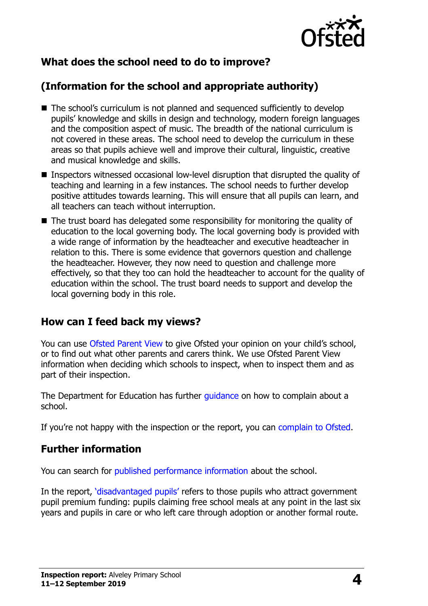

# **What does the school need to do to improve?**

# **(Information for the school and appropriate authority)**

- The school's curriculum is not planned and sequenced sufficiently to develop pupils' knowledge and skills in design and technology, modern foreign languages and the composition aspect of music. The breadth of the national curriculum is not covered in these areas. The school need to develop the curriculum in these areas so that pupils achieve well and improve their cultural, linguistic, creative and musical knowledge and skills.
- Inspectors witnessed occasional low-level disruption that disrupted the quality of teaching and learning in a few instances. The school needs to further develop positive attitudes towards learning. This will ensure that all pupils can learn, and all teachers can teach without interruption.
- The trust board has delegated some responsibility for monitoring the quality of education to the local governing body. The local governing body is provided with a wide range of information by the headteacher and executive headteacher in relation to this. There is some evidence that governors question and challenge the headteacher. However, they now need to question and challenge more effectively, so that they too can hold the headteacher to account for the quality of education within the school. The trust board needs to support and develop the local governing body in this role.

### **How can I feed back my views?**

You can use [Ofsted Parent View](http://parentview.ofsted.gov.uk/) to give Ofsted your opinion on your child's school, or to find out what other parents and carers think. We use Ofsted Parent View information when deciding which schools to inspect, when to inspect them and as part of their inspection.

The Department for Education has further quidance on how to complain about a school.

If you're not happy with the inspection or the report, you can [complain to Ofsted.](http://www.gov.uk/complain-ofsted-report)

### **Further information**

You can search for [published performance information](http://www.compare-school-performance.service.gov.uk/) about the school.

In the report, '[disadvantaged pupils](http://www.gov.uk/guidance/pupil-premium-information-for-schools-and-alternative-provision-settings)' refers to those pupils who attract government pupil premium funding: pupils claiming free school meals at any point in the last six years and pupils in care or who left care through adoption or another formal route.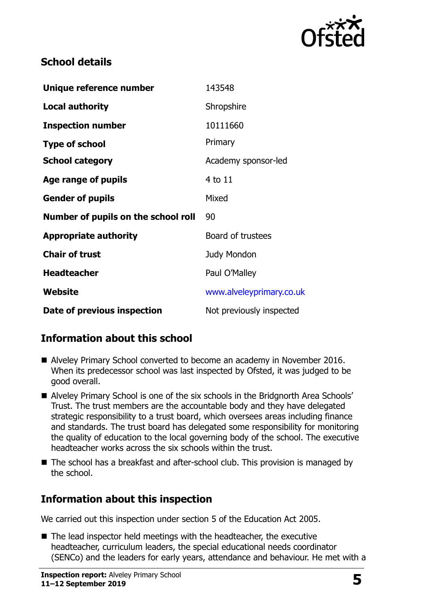

# **School details**

| Unique reference number             | 143548                   |
|-------------------------------------|--------------------------|
| <b>Local authority</b>              | Shropshire               |
| <b>Inspection number</b>            | 10111660                 |
| <b>Type of school</b>               | Primary                  |
| <b>School category</b>              | Academy sponsor-led      |
| Age range of pupils                 | 4 to 11                  |
| <b>Gender of pupils</b>             | Mixed                    |
| Number of pupils on the school roll | 90                       |
| <b>Appropriate authority</b>        | Board of trustees        |
| <b>Chair of trust</b>               | <b>Judy Mondon</b>       |
| <b>Headteacher</b>                  | Paul O'Malley            |
| Website                             | www.alveleyprimary.co.uk |
| Date of previous inspection         | Not previously inspected |

# **Information about this school**

- Alveley Primary School converted to become an academy in November 2016. When its predecessor school was last inspected by Ofsted, it was judged to be good overall.
- Alveley Primary School is one of the six schools in the Bridgnorth Area Schools' Trust. The trust members are the accountable body and they have delegated strategic responsibility to a trust board, which oversees areas including finance and standards. The trust board has delegated some responsibility for monitoring the quality of education to the local governing body of the school. The executive headteacher works across the six schools within the trust.
- The school has a breakfast and after-school club. This provision is managed by the school.

# **Information about this inspection**

We carried out this inspection under section 5 of the Education Act 2005.

■ The lead inspector held meetings with the headteacher, the executive headteacher, curriculum leaders, the special educational needs coordinator (SENCo) and the leaders for early years, attendance and behaviour. He met with a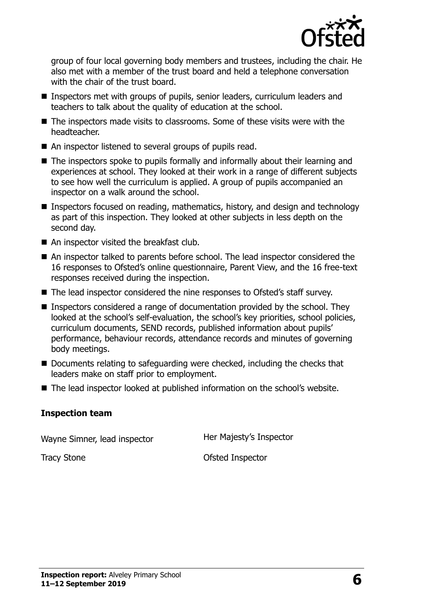

group of four local governing body members and trustees, including the chair. He also met with a member of the trust board and held a telephone conversation with the chair of the trust board.

- Inspectors met with groups of pupils, senior leaders, curriculum leaders and teachers to talk about the quality of education at the school.
- The inspectors made visits to classrooms. Some of these visits were with the headteacher.
- An inspector listened to several groups of pupils read.
- The inspectors spoke to pupils formally and informally about their learning and experiences at school. They looked at their work in a range of different subjects to see how well the curriculum is applied. A group of pupils accompanied an inspector on a walk around the school.
- Inspectors focused on reading, mathematics, history, and design and technology as part of this inspection. They looked at other subjects in less depth on the second day.
- An inspector visited the breakfast club.
- An inspector talked to parents before school. The lead inspector considered the 16 responses to Ofsted's online questionnaire, Parent View, and the 16 free-text responses received during the inspection.
- The lead inspector considered the nine responses to Ofsted's staff survey.
- Inspectors considered a range of documentation provided by the school. They looked at the school's self-evaluation, the school's key priorities, school policies, curriculum documents, SEND records, published information about pupils' performance, behaviour records, attendance records and minutes of governing body meetings.
- Documents relating to safeguarding were checked, including the checks that leaders make on staff prior to employment.
- The lead inspector looked at published information on the school's website.

#### **Inspection team**

Wayne Simner, lead inspector **Her Majesty's Inspector** 

Tracy Stone **Contract Contract Contract Contract Contract Contract Contract Contract Contract Contract Contract Contract Contract Contract Contract Contract Contract Contract Contract Contract Contract Contract Contract Co**